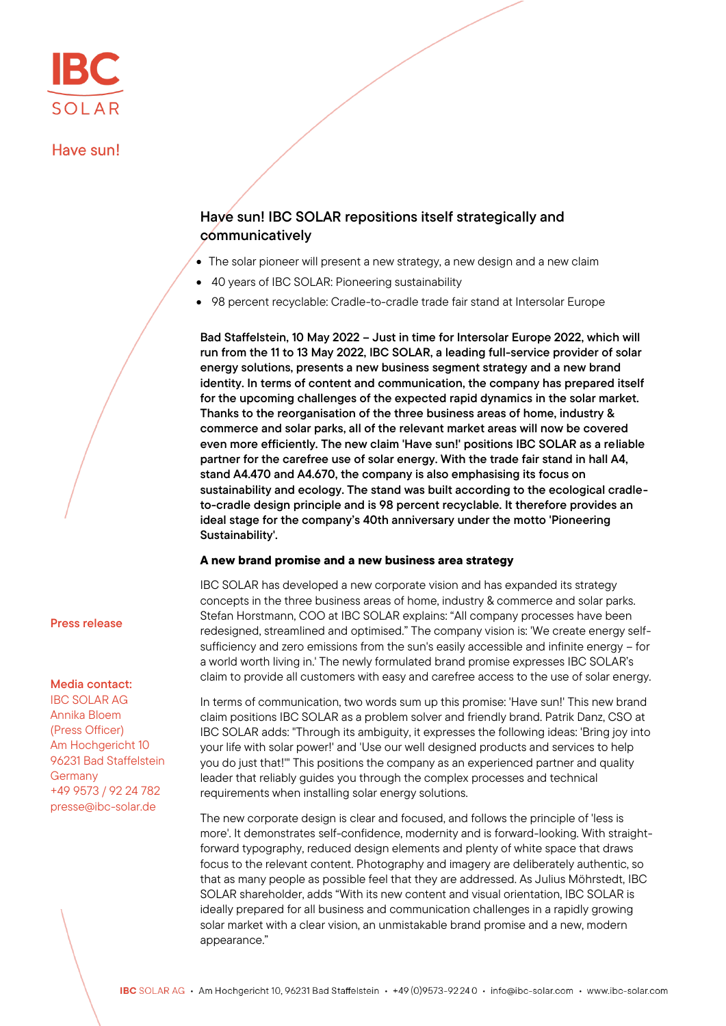## Have sun!

# Have sun! IBC SOLAR repositions itself strategically and communicatively

- The solar pioneer will present a new strategy, a new design and a new claim
- 40 years of IBC SOLAR: Pioneering sustainability
- 98 percent recyclable: Cradle-to-cradle trade fair stand at Intersolar Europe

Bad Staffelstein, 10 May 2022 – Just in time for Intersolar Europe 2022, which will run from the 11 to 13 May 2022, IBC SOLAR, a leading full-service provider of solar energy solutions, presents a new business segment strategy and a new brand identity. In terms of content and communication, the company has prepared itself for the upcoming challenges of the expected rapid dynamics in the solar market. Thanks to the reorganisation of the three business areas of home, industry & commerce and solar parks, all of the relevant market areas will now be covered even more efficiently. The new claim 'Have sun!' positions IBC SOLAR as a reliable partner for the carefree use of solar energy. With the trade fair stand in hall A4, stand A4.470 and A4.670, the company is also emphasising its focus on sustainability and ecology. The stand was built according to the ecological cradleto-cradle design principle and is 98 percent recyclable. It therefore provides an ideal stage for the company's 40th anniversary under the motto 'Pioneering Sustainability'.

## A new brand promise and a new business area strategy

IBC SOLAR has developed a new corporate vision and has expanded its strategy concepts in the three business areas of home, industry & commerce and solar parks. Stefan Horstmann, COO at IBC SOLAR explains: "All company processes have been redesigned, streamlined and optimised." The company vision is: 'We create energy selfsufficiency and zero emissions from the sun's easily accessible and infinite energy – for a world worth living in.' The newly formulated brand promise expresses IBC SOLAR's claim to provide all customers with easy and carefree access to the use of solar energy.

In terms of communication, two words sum up this promise: 'Have sun!' This new brand claim positions IBC SOLAR as a problem solver and friendly brand. Patrik Danz, CSO at IBC SOLAR adds: "Through its ambiguity, it expresses the following ideas: 'Bring joy into your life with solar power!' and 'Use our well designed products and services to help you do just that!'" This positions the company as an experienced partner and quality leader that reliably guides you through the complex processes and technical requirements when installing solar energy solutions.

The new corporate design is clear and focused, and follows the principle of 'less is more'. It demonstrates self-confidence, modernity and is forward-looking. With straightforward typography, reduced design elements and plenty of white space that draws focus to the relevant content. Photography and imagery are deliberately authentic, so that as many people as possible feel that they are addressed. As Julius Möhrstedt, IBC SOLAR shareholder, adds "With its new content and visual orientation, IBC SOLAR is ideally prepared for all business and communication challenges in a rapidly growing solar market with a clear vision, an unmistakable brand promise and a new, modern appearance."

Press release

## Media contact:

IBC SOLAR AG Annika Bloem (Press Officer) Am Hochgericht 10 96231 Bad Staffelstein **Germany** +49 9573 / 92 24 782 presse@ibc-solar.de